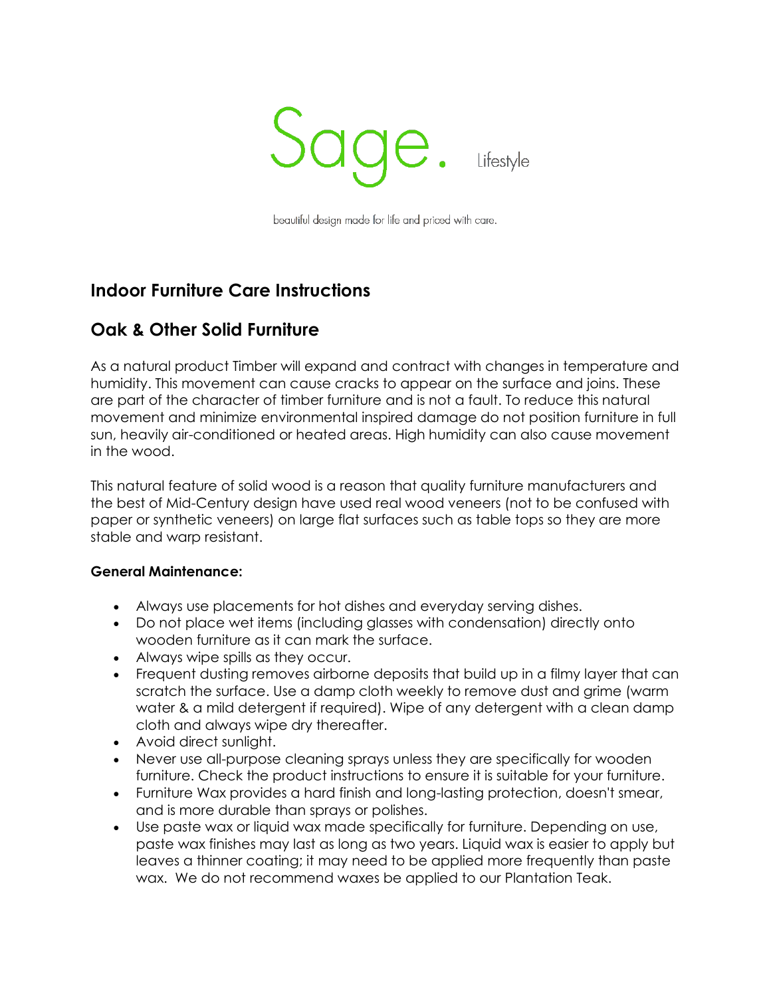

beautiful design made for life and priced with care.

## **Indoor Furniture Care Instructions**

## **Oak & Other Solid Furniture**

As a natural product Timber will expand and contract with changes in temperature and humidity. This movement can cause cracks to appear on the surface and joins. These are part of the character of timber furniture and is not a fault. To reduce this natural movement and minimize environmental inspired damage do not position furniture in full sun, heavily air-conditioned or heated areas. High humidity can also cause movement in the wood.

This natural feature of solid wood is a reason that quality furniture manufacturers and the best of Mid-Century design have used real wood veneers (not to be confused with paper or synthetic veneers) on large flat surfaces such as table tops so they are more stable and warp resistant.

### **General Maintenance:**

- Always use placements for hot dishes and everyday serving dishes.
- Do not place wet items (including glasses with condensation) directly onto wooden furniture as it can mark the surface.
- Always wipe spills as they occur.
- Frequent dusting removes airborne deposits that build up in a filmy layer that can scratch the surface. Use a damp cloth weekly to remove dust and grime (warm water & a mild detergent if required). Wipe of any detergent with a clean damp cloth and always wipe dry thereafter.
- Avoid direct sunlight.
- Never use all-purpose cleaning sprays unless they are specifically for wooden furniture. Check the product instructions to ensure it is suitable for your furniture.
- Furniture Wax provides a hard finish and long-lasting protection, doesn't smear, and is more durable than sprays or polishes.
- Use paste wax or liquid wax made specifically for furniture. Depending on use, paste wax finishes may last as long as two years. Liquid wax is easier to apply but leaves a thinner coating; it may need to be applied more frequently than paste wax. We do not recommend waxes be applied to our Plantation Teak.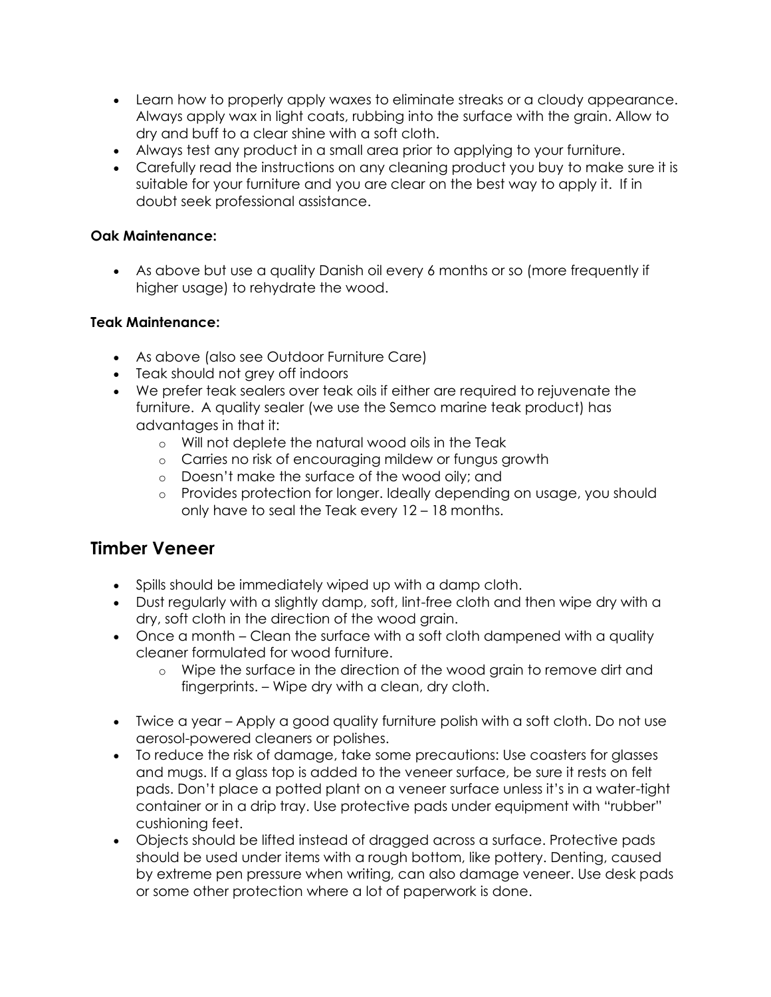- Learn how to properly apply waxes to eliminate streaks or a cloudy appearance. Always apply wax in light coats, rubbing into the surface with the grain. Allow to dry and buff to a clear shine with a soft cloth.
- Always test any product in a small area prior to applying to your furniture.
- Carefully read the instructions on any cleaning product you buy to make sure it is suitable for your furniture and you are clear on the best way to apply it. If in doubt seek professional assistance.

### **Oak Maintenance:**

• As above but use a quality Danish oil every 6 months or so (more frequently if higher usage) to rehydrate the wood.

### **Teak Maintenance:**

- As above (also see Outdoor Furniture Care)
- Teak should not grey off indoors
- We prefer teak sealers over teak oils if either are required to rejuvenate the furniture. A quality sealer (we use the Semco marine teak product) has advantages in that it:
	- o Will not deplete the natural wood oils in the Teak
	- o Carries no risk of encouraging mildew or fungus growth
	- o Doesn't make the surface of the wood oily; and
	- o Provides protection for longer. Ideally depending on usage, you should only have to seal the Teak every 12 – 18 months.

### **Timber Veneer**

- Spills should be immediately wiped up with a damp cloth.
- Dust regularly with a slightly damp, soft, lint-free cloth and then wipe dry with a dry, soft cloth in the direction of the wood grain.
- Once a month Clean the surface with a soft cloth dampened with a quality cleaner formulated for wood furniture.
	- o Wipe the surface in the direction of the wood grain to remove dirt and fingerprints. – Wipe dry with a clean, dry cloth.
- Twice a year Apply a good quality furniture polish with a soft cloth. Do not use aerosol-powered cleaners or polishes.
- To reduce the risk of damage, take some precautions: Use coasters for glasses and mugs. If a glass top is added to the veneer surface, be sure it rests on felt pads. Don't place a potted plant on a veneer surface unless it's in a water-tight container or in a drip tray. Use protective pads under equipment with "rubber" cushioning feet.
- Objects should be lifted instead of dragged across a surface. Protective pads should be used under items with a rough bottom, like pottery. Denting, caused by extreme pen pressure when writing, can also damage veneer. Use desk pads or some other protection where a lot of paperwork is done.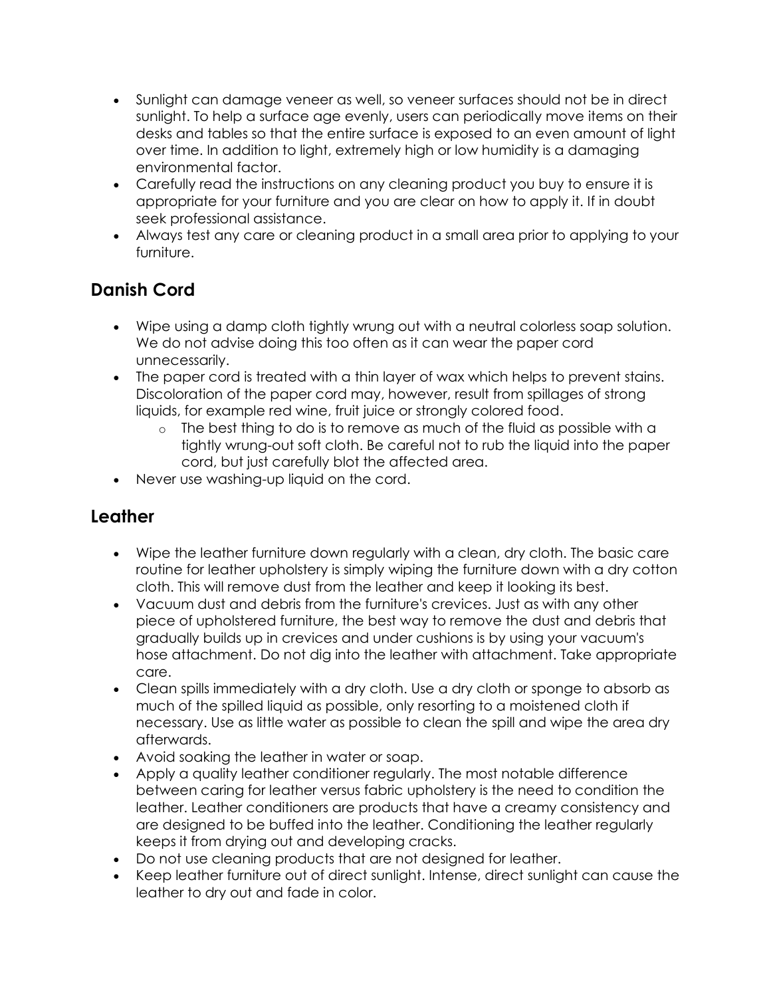- Sunlight can damage veneer as well, so veneer surfaces should not be in direct sunlight. To help a surface age evenly, users can periodically move items on their desks and tables so that the entire surface is exposed to an even amount of light over time. In addition to light, extremely high or low humidity is a damaging environmental factor.
- Carefully read the instructions on any cleaning product you buy to ensure it is appropriate for your furniture and you are clear on how to apply it. If in doubt seek professional assistance.
- Always test any care or cleaning product in a small area prior to applying to your furniture.

# **Danish Cord**

- Wipe using a damp cloth tightly wrung out with a neutral colorless soap solution. We do not advise doing this too often as it can wear the paper cord unnecessarily.
- The paper cord is treated with a thin layer of wax which helps to prevent stains. Discoloration of the paper cord may, however, result from spillages of strong liquids, for example red wine, fruit juice or strongly colored food.
	- $\circ$  The best thing to do is to remove as much of the fluid as possible with a tightly wrung-out soft cloth. Be careful not to rub the liquid into the paper cord, but just carefully blot the affected area.
- Never use washing-up liquid on the cord.

## **Leather**

- Wipe the leather furniture down regularly with a clean, dry cloth. The basic care routine for leather upholstery is simply wiping the furniture down with a dry cotton cloth. This will remove dust from the leather and keep it looking its best.
- Vacuum dust and debris from the furniture's crevices. Just as with any other piece of upholstered furniture, the best way to remove the dust and debris that gradually builds up in crevices and under cushions is by using your vacuum's hose attachment. Do not dig into the leather with attachment. Take appropriate care.
- Clean spills immediately with a dry cloth. Use a dry cloth or sponge to absorb as much of the spilled liquid as possible, only resorting to a moistened cloth if necessary. Use as little water as possible to clean the spill and wipe the area dry afterwards.
- Avoid soaking the leather in water or soap.
- Apply a quality leather conditioner regularly. The most notable difference between caring for leather versus fabric upholstery is the need to condition the leather. Leather conditioners are products that have a creamy consistency and are designed to be buffed into the leather. Conditioning the leather regularly keeps it from drying out and developing cracks.
- Do not use cleaning products that are not designed for leather.
- Keep leather furniture out of direct sunlight. Intense, direct sunlight can cause the leather to dry out and fade in color.